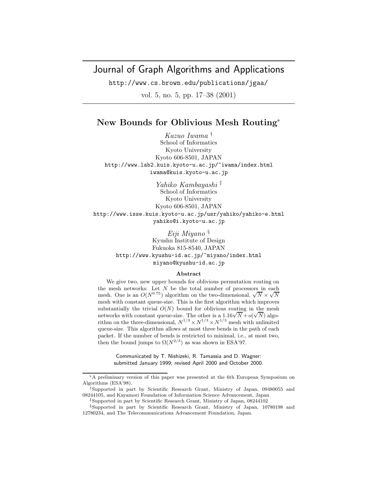# Journal of Graph Algorithms and Applications

http://www.cs.brown.edu/publications/jgaa/

vol. 5, no. 5, pp. 17–38 (2001)

### **New Bounds for Oblivious Mesh Routing**<sup>∗</sup>

Kazuo Iwama † School of Informatics Kyoto University Kyoto 606-8501, JAPAN http://www.lab2.kuis.kyoto-u.ac.jp/~iwama/index.html iwama@kuis.kyoto-u.ac.jp

Yahiko Kambayashi ‡ School of Informatics Kyoto University Kyoto 606-8501, JAPAN http://www.isse.kuis.kyoto-u.ac.jp/usr/yahiko/yahiko-e.html yahiko@i.kyoto-u.ac.jp

> Eiji Miyano § Kyushu Institute of Design Fukuoka 815-8540, JAPAN http://www.kyushu-id.ac.jp/~miyano/index.html miyano@kyushu-id.ac.jp

#### **Abstract**

We give two, new upper bounds for oblivious permutation routing on the mesh networks: Let  $N$  be the total number of processors in each mesh. One is an  $O(N^{0.75})$  algorithm on the two-dimensional,  $\sqrt{N} \times \sqrt{N}$ mesh with constant queue-size. This is the first algorithm which improves substantially the trivial  $O(N)$  bound for oblivious routing in the mesh networks with constant queue-size. The other is a  $1.16\sqrt{N} + o(\sqrt{N})$  algorithm on the three-dimensional,  $N^{1/3} \times N^{1/3} \times N^{1/3}$  mesh with unlimited queue-size. This algorithm allows at most three bends in the path of each packet. If the number of bends is restricted to minimal, i.e., at most two, then the bound jumps to  $\Omega(N^{2/3})$  as was shown in ESA'97.

Communicated by T. Nishizeki, R. Tamassia and D. Wagner: submitted January 1999; revised April 2000 and October 2000.

<sup>∗</sup>A preliminary version of this paper was presented at the 6th European Symposium on Algorithms (ESA'98).

<sup>†</sup>Supported in part by Scientific Research Grant, Ministry of Japan, 09480055 and 08244105, and Kayamori Foundation of Information Science Advancement, Japan

<sup>‡</sup>Supported in part by Scientific Research Grant, Ministry of Japan, 08244102

<sup>§</sup>Supported in part by Scientific Research Grant, Ministry of Japan, 10780198 and 12780234, and The Telecommunications Advancement Foundation, Japan.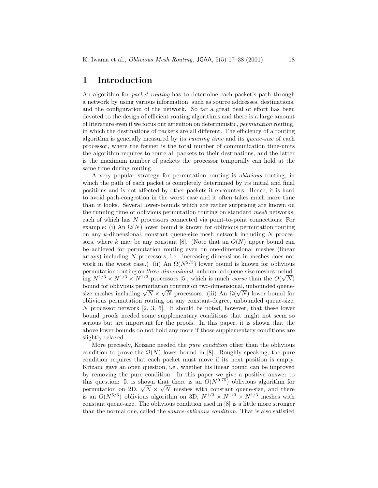### **1 Introduction**

An algorithm for *packet routing* has to determine each packet's path through a network by using various information, such as source addresses, destinations, and the configuration of the network. So far a great deal of effort has been devoted to the design of efficient routing algorithms and there is a large amount of literature even if we focus our attention on deterministic, *permutation* routing, in which the destinations of packets are all different. The efficiency of a routing algorithm is generally measured by its *running time* and its *queue-size* of each processor, where the former is the total number of communication time-units the algorithm requires to route all packets to their destinations, and the latter is the maximum number of packets the processor temporally can hold at the same time during routing.

A very popular strategy for permutation routing is *oblivious* routing, in which the path of each packet is completely determined by its initial and final positions and is not affected by other packets it encounters. Hence, it is hard to avoid path-congestion in the worst case and it often takes much more time than it looks. Several lower-bounds which are rather surprising are known on the running time of oblivious permutation routing on standard *mesh* networks, each of which has N processors connected via point-to-point connections: For example: (i) An  $\Omega(N)$  lower bound is known for oblivious permutation routing on any  $k$ -dimensional, constant queue-size mesh network including  $N$  processors, where k may be any constant [8]. (Note that an  $O(N)$ ) upper bound can be achieved for permutation routing even on one-dimensional meshes (linear arrays) including N processors, i.e., increasing dimensions in meshes does not work in the worst case.) (ii) An  $\Omega(N^{2/3})$  lower bound is known for oblivious permutation routing on *three-dimensional*, unbounded queue-size meshes including  $N^{1/3} \times N^{1/3} \times N^{1/3}$  processors [5], which is much *worse* than the  $O(\sqrt{N})$ bound for oblivious permutation routing on two-dimensional, unbounded queuesize meshes including  $\sqrt{N} \times \sqrt{N}$  processors. (iii) An  $\Omega(\sqrt{N})$  lower bound for oblivious permutation routing on any constant-degree, unbounded queue-size,  $N$  processor network  $[2, 3, 6]$ . It should be noted, however, that these lower bound proofs needed some supplementary conditions that might not seem so serious but are important for the proofs. In this paper, it is shown that the above lower bounds do not hold any more if those supplementary conditions are slightly relaxed.

More precisely, Krizanc needed the *pure condition* other than the oblivious condition to prove the  $\Omega(N)$  lower bound in [8]. Roughly speaking, the pure condition requires that each packet must move if its next position is empty. Krizanc gave an open question, i.e., whether his linear bound can be improved by removing the pure condition. In this paper we give a positive answer to this question: It is shown that there is an  $O(N^{0.75})$  oblivious algorithm for permutation on 2D,  $\sqrt{N} \times \sqrt{N}$  meshes with constant queue-size, and there is an  $O(N^{5/6})$  oblivious algorithm on 3D,  $N^{1/3} \times N^{1/3} \times N^{1/3}$  meshes with constant queue-size. The oblivious condition used in [8] is a little more stronger than the normal one, called the *source-oblivious condition*. That is also satisfied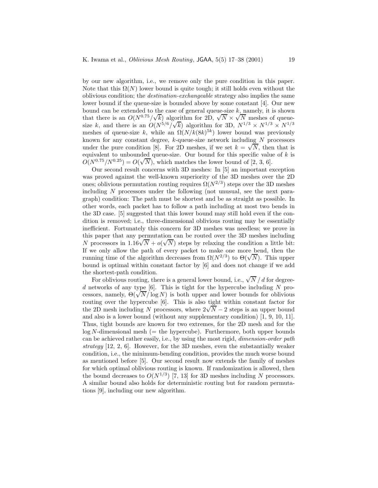by our new algorithm, i.e., we remove only the pure condition in this paper. Note that this  $\Omega(N)$  lower bound is quite tough; it still holds even without the oblivious condition; the *destination-exchangeable* strategy also implies the same lower bound if the queue-size is bounded above by some constant [4]. Our new bound can be extended to the case of general queue-size  $k$ , namely, it is shown that there is an  $O(N^{0.75}/\sqrt{k})$  algorithm for 2D,  $\sqrt{N} \times \sqrt{N}$  meshes of queuesize k, and there is an  $O(N^{5/6}/\sqrt{k})$  algorithm for 3D,  $N^{1/3} \times N^{1/3} \times N^{1/3}$ meshes of queue-size k, while an  $\Omega(N/k(8k)^{5k})$  lower bound was previously known for any constant degree,  $k$ -queue-size network including  $N$  processors under the pure condition [8]. For 2D meshes, if we set  $k = \sqrt{N}$ , then that is equivalent to unbounded queue-size. Our bound for this specific value of  $k$  is  $O(N^{0.75}/N^{0.25}) = O(\sqrt{N})$ , which matches the lower bound of [2, 3, 6].

Our second result concerns with 3D meshes: In [5] an important exception was proved against the well-known superiority of the 3D meshes over the 2D ones; oblivious permutation routing requires  $\Omega(N^{2/3})$  steps over the 3D meshes including N processors under the following (not unusual, see the next paragraph) condition: The path must be shortest and be as straight as possible. In other words, each packet has to follow a path including at most two bends in the 3D case. [5] suggested that this lower bound may still hold even if the condition is removed; i.e., three-dimensional oblivious routing may be essentially inefficient. Fortunately this concern for 3D meshes was needless; we prove in this paper that any permutation can be routed over the 3D meshes including N processors in  $1.16\sqrt{N} + o(\sqrt{N})$  steps by relaxing the condition a little bit: If we only allow the path of every packet to make one more bend, then the running time of the algorithm decreases from  $\Omega(N^{2/3})$  to  $\Theta(\sqrt{N})$ . This upper bound is optimal within constant factor by [6] and does not change if we add the shortest-path condition.

For oblivious routing, there is a general lower bound, i.e.,  $\sqrt{N}/d$  for degreed networks of any type  $[6]$ . This is tight for the hypercube including N processors, namely,  $\Theta(\sqrt{N}/\log N)$  is both upper and lower bounds for oblivious routing over the hypercube [6]. This is also tight within constant factor for the 2D mesh including N processors, where  $2\sqrt{N} - 2$  steps is an upper bound and also is a lower bound (without any supplementary condition) [1, 9, 10, 11]. Thus, tight bounds are known for two extremes, for the 2D mesh and for the  $log N$ -dimensional mesh (= the hypercube). Furthermore, both upper bounds can be achieved rather easily, i.e., by using the most rigid, *dimension-order path strategy* [12, 2, 6]. However, for the 3D meshes, even the substantially weaker condition, i.e., the minimum-bending condition, provides the much worse bound as mentioned before [5]. Our second result now extends the family of meshes for which optimal oblivious routing is known. If randomization is allowed, then the bound decreases to  $O(N^{1/3})$  [7, 13] for 3D meshes including N processors. A similar bound also holds for deterministic routing but for random permutations [9], including our new algorithm.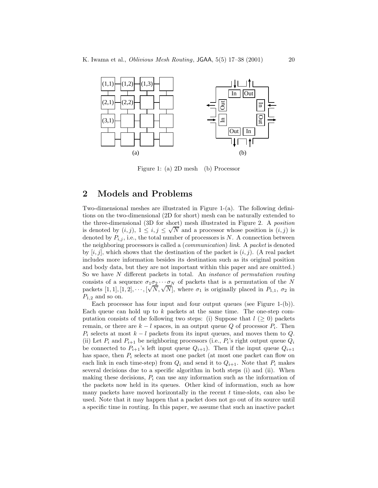

Figure 1: (a) 2D mesh (b) Processor

### **2 Models and Problems**

Two-dimensional meshes are illustrated in Figure 1-(a). The following definitions on the two-dimensional (2D for short) mesh can be naturally extended to the three-dimensional (3D for short) mesh illustrated in Figure 2. A *position* is denoted by  $(i, j)$ ,  $1 \le i, j \le \sqrt{N}$  and a processor whose position is  $(i, j)$  is denoted by  $P_{i,j}$ , i.e., the total number of processors is N. A connection between the neighboring processors is called a (*communication*) *link*. A *packet* is denoted by  $[i, j]$ , which shows that the destination of the packet is  $(i, j)$ . (A real packet includes more information besides its destination such as its original position and body data, but they are not important within this paper and are omitted.) So we have N different packets in total. An *instance* of *permutation routing* consists of a sequence  $\sigma_1 \sigma_2 \cdots \sigma_N$  of packets that is a permutation of the N packets  $[1, 1], [1, 2], \cdots, [\sqrt{N}, \sqrt{N}],$  where  $\sigma_1$  is originally placed in  $P_{1,1}$ ,  $\sigma_2$  in  $P_{1,2}$  and so on.

Each processor has four input and four output queues (see Figure 1-(b)). Each queue can hold up to  $k$  packets at the same time. The one-step computation consists of the following two steps: (i) Suppose that  $l \geq 0$ ) packets remain, or there are  $k - l$  spaces, in an output queue Q of processor  $P_i$ . Then  $P_i$  selects at most  $k - l$  packets from its input queues, and moves them to Q. (ii) Let  $P_i$  and  $P_{i+1}$  be neighboring processors (i.e.,  $P_i$ 's right output queue  $Q_i$ be connected to  $P_{i+1}$ 's left input queue  $Q_{i+1}$ ). Then if the input queue  $Q_{i+1}$ has space, then  $P_i$  selects at most one packet (at most one packet can flow on each link in each time-step) from  $Q_i$  and send it to  $Q_{i+1}$ . Note that  $P_i$  makes several decisions due to a specific algorithm in both steps (i) and (ii). When making these decisions,  $P_i$  can use any information such as the information of the packets now held in its queues. Other kind of information, such as how many packets have moved horizontally in the recent  $t$  time-slots, can also be used. Note that it may happen that a packet does not go out of its source until a specific time in routing. In this paper, we assume that such an inactive packet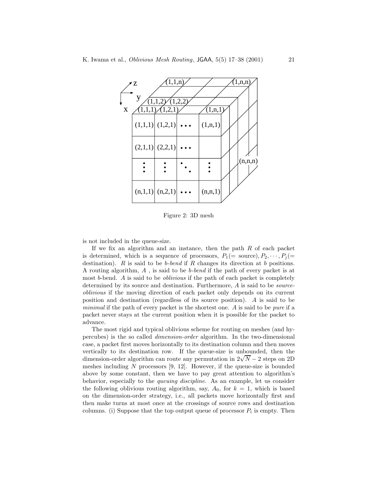

Figure 2: 3D mesh

is not included in the queue-size.

If we fix an algorithm and an instance, then the path  $R$  of each packet is determined, which is a sequence of processors,  $P_1(=$  source),  $P_2, \dots, P_i(=$ destination). R is said to be *b*-*bend* if R changes its direction at *b* positions. A routing algorithm, A , is said to be b*-bend* if the path of every packet is at most b-bend. A is said to be *oblivious* if the path of each packet is completely determined by its source and destination. Furthermore, A is said to be *sourceoblivious* if the moving direction of each packet only depends on its current position and destination (regardless of its source position). A is said to be *minimal* if the path of every packet is the shortest one. A is said to be *pure* if a packet never stays at the current position when it is possible for the packet to advance.

The most rigid and typical oblivious scheme for routing on meshes (and hypercubes) is the so called *dimension-order* algorithm. In the two-dimensional case, a packet first moves horizontally to its destination column and then moves vertically to its destination row. If the queue-size is unbounded, then the dimension-order algorithm can route any permutation in  $2\sqrt{N} - 2$  steps on 2D meshes including  $N$  processors  $[9, 12]$ . However, if the queue-size is bounded above by some constant, then we have to pay great attention to algorithm's behavior, especially to the *queuing discipline*. As an example, let us consider the following oblivious routing algorithm, say,  $A_0$ , for  $k = 1$ , which is based on the dimension-order strategy, i.e., all packets move horizontally first and then make turns at most once at the crossings of source rows and destination columns. (i) Suppose that the top output queue of processor  $P_i$  is empty. Then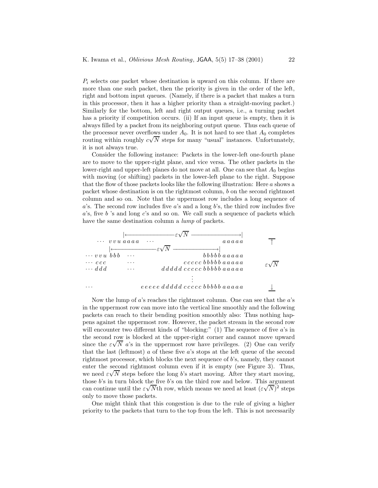$P_i$  selects one packet whose destination is upward on this column. If there are more than one such packet, then the priority is given in the order of the left, right and bottom input queues. (Namely, if there is a packet that makes a turn in this processor, then it has a higher priority than a straight-moving packet.) Similarly for the bottom, left and right output queues, i.e., a turning packet has a priority if competition occurs. (ii) If an input queue is empty, then it is always filled by a packet from its neighboring output queue. Thus each queue of the processor never overflows under  $A_0$ . It is not hard to see that  $A_0$  completes routing within roughly  $c\sqrt{N}$  steps for many "usual" instances. Unfortunately, it is not always true.

Consider the following instance: Packets in the lower-left one-fourth plane are to move to the upper-right plane, and vice versa. The other packets in the lower-right and upper-left planes do not move at all. One can see that  $A_0$  begins with moving (or shifting) packets in the lower-left plane to the right. Suppose that the flow of those packets looks like the following illustration: Here a shows a packet whose destination is on the rightmost column, b on the second rightmost column and so on. Note that the uppermost row includes a long sequence of  $a$ 's. The second row includes five  $a$ 's and a long  $b$ 's, the third row includes five  $a$ 's, five  $b$  's and long  $c$ 's and so on. We call such a sequence of packets which have the same destination column a *lump* of packets.

|←−−−−−−−−−−−−−<sup>ε</sup> √ <sup>N</sup> −−−−−−−−−−−−−→| ··· vvu aaaa ··· aaaaa |←−−−−−−−−−−−−<sup>ε</sup> √ <sup>N</sup> −−−−−−−−−−−−→| ··· vvu bbb ··· bbbbb aaaaa ··· ccc ··· ccccc bbbbb aaaaa ··· ddd ··· ddddd ccccc bbbbb aaaaa . . . ··· eeeee ddddd ccccc bbbbb aaaaa ↑ ε √ N ↓

Now the lump of  $a$ 's reaches the rightmost column. One can see that the  $a$ 's in the uppermost row can move into the vertical line smoothly and the following packets can reach to their bending position smoothly also: Thus nothing happens against the uppermost row. However, the packet stream in the second row will encounter two different kinds of "blocking:" (1) The sequence of five  $a$ 's in the second row is blocked at the upper-right corner and cannot move upward since the  $\varepsilon\sqrt{N}$  a's in the uppermost row have privileges. (2) One can verify that the last (leftmost)  $a$  of these five  $a$ 's stops at the left queue of the second rightmost processor, which blocks the next sequence of b's, namely, they cannot enter the second rightmost column even if it is empty (see Figure 3). Thus, we need  $\varepsilon \sqrt{N}$  steps before the long b's start moving. After they start moving, those b's in turn block the five b's on the third row and below. This argument can continue until the  $\varepsilon\sqrt{N}$ th row, which means we need at least  $(\varepsilon\sqrt{N})^2$  steps only to move those packets.

One might think that this congestion is due to the rule of giving a higher priority to the packets that turn to the top from the left. This is not necessarily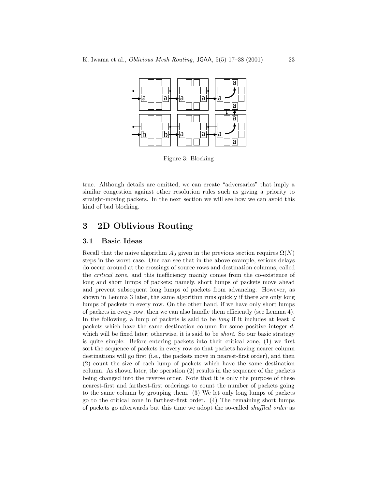

Figure 3: Blocking

true. Although details are omitted, we can create "adversaries" that imply a similar congestion against other resolution rules such as giving a priority to straight-moving packets. In the next section we will see how we can avoid this kind of bad blocking.

### **3 2D Oblivious Routing**

### **3.1 Basic Ideas**

Recall that the naive algorithm  $A_0$  given in the previous section requires  $\Omega(N)$ steps in the worst case. One can see that in the above example, serious delays do occur around at the crossings of source rows and destination columns, called the *critical zone*, and this inefficiency mainly comes from the co-existence of long and short lumps of packets; namely, short lumps of packets move ahead and prevent subsequent long lumps of packets from advancing. However, as shown in Lemma 3 later, the same algorithm runs quickly if there are only long lumps of packets in every row. On the other hand, if we have only short lumps of packets in every row, then we can also handle them efficiently (see Lemma 4). In the following, a lump of packets is said to be *long* if it includes at least d packets which have the same destination column for some positive integer  $d$ , which will be fixed later; otherwise, it is said to be *short*. So our basic strategy is quite simple: Before entering packets into their critical zone, (1) we first sort the sequence of packets in every row so that packets having nearer column destinations will go first (i.e., the packets move in nearest-first order), and then (2) count the size of each lump of packets which have the same destination column. As shown later, the operation (2) results in the sequence of the packets being changed into the reverse order. Note that it is only the purpose of these nearest-first and farthest-first orderings to count the number of packets going to the same column by grouping them. (3) We let only long lumps of packets go to the critical zone in farthest-first order. (4) The remaining short lumps of packets go afterwards but this time we adopt the so-called *shuffled order* as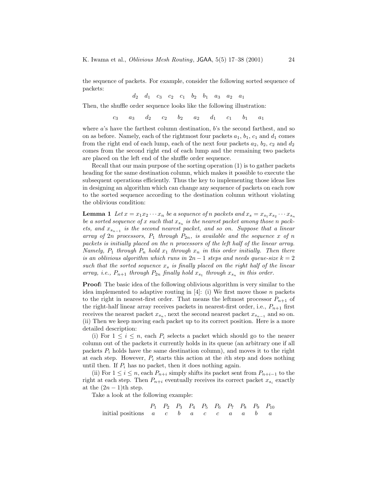the sequence of packets. For example, consider the following sorted sequence of packets:

 $d_2$   $d_1$   $c_3$   $c_2$   $c_1$   $b_2$   $b_1$   $a_3$   $a_2$   $a_1$ 

Then, the shuffle order sequence looks like the following illustration:

 $c_3$   $a_3$   $d_2$   $c_2$   $b_2$   $a_2$   $d_1$   $c_1$   $b_1$   $a_1$ 

where  $a$ 's have the farthest column destination,  $b$ 's the second farthest, and so on as before. Namely, each of the rightmost four packets  $a_1, b_1, c_1$  and  $d_1$  comes from the right end of each lump, each of the next four packets  $a_2$ ,  $b_2$ ,  $c_2$  and  $d_2$ comes from the second right end of each lump and the remaining two packets are placed on the left end of the shuffle order sequence.

Recall that our main purpose of the sorting operation (1) is to gather packets heading for the same destination column, which makes it possible to execute the subsequent operations efficiently. Thus the key to implementing those ideas lies in designing an algorithm which can change any sequence of packets on each row to the sorted sequence according to the destination column without violating the oblivious condition:

**Lemma 1** *Let*  $x = x_1x_2 \cdots x_n$  *be a sequence of n packets and*  $x_s = x_{s_1}x_{s_2} \cdots x_{s_n}$ *be a sorted sequence of* x *such that*  $x_{s_n}$  *is the nearest packet among those n packets, and*  $x_{s_{n-1}}$  *is the second nearest packet, and so on. Suppose that a linear array of* 2n *processors,*  $P_1$  *through*  $P_{2n}$ *, is available and the sequence* x of n *packets is initially placed on the* n *processors of the left half of the linear array. Namely,*  $P_1$  *through*  $P_n$  *hold*  $x_1$  *through*  $x_n$  *in this order initially. Then there is an oblivious algorithm which runs in*  $2n - 1$  *steps and needs queue-size*  $k = 2$ such that the sorted sequence  $x_s$  *is finally placed on the right half of the linear array, i.e.,*  $P_{n+1}$  *through*  $P_{2n}$  *finally hold*  $x_{s_1}$  *through*  $x_{s_n}$  *in this order.* 

**Proof:** The basic idea of the following oblivious algorithm is very similar to the idea implemented to adaptive routing in  $[4]$ : (i) We first move those *n* packets to the right in nearest-first order. That means the leftmost processor  $P_{n+1}$  of the right-half linear array receives packets in nearest-first order, i.e.,  $P_{n+1}$  first receives the nearest packet  $x_{s_n}$ , next the second nearest packet  $x_{s_{n-1}}$  and so on. (ii) Then we keep moving each packet up to its correct position. Here is a more detailed description:

(i) For  $1 \leq i \leq n$ , each  $P_i$  selects a packet which should go to the nearer column out of the packets it currently holds in its queue (an arbitrary one if all packets  $P_i$  holds have the same destination column), and moves it to the right at each step. However,  $P_i$  starts this action at the *i*th step and does nothing until then. If  $P_i$  has no packet, then it does nothing again.

(ii) For  $1 \leq i \leq n$ , each  $P_{n+i}$  simply shifts its packet sent from  $P_{n+i-1}$  to the right at each step. Then  $P_{n+i}$  eventually receives its correct packet  $x_{s_i}$  exactly at the  $(2n - 1)$ th step.

Take a look at the following example:

$$
P_1 \quad P_2 \quad P_3 \quad P_4 \quad P_5 \quad P_6 \quad P_7 \quad P_8 \quad P_9 \quad P_{10}
$$
initial positions 
$$
a \quad c \quad b \quad a \quad c \quad c \quad a \quad a \quad b \quad a
$$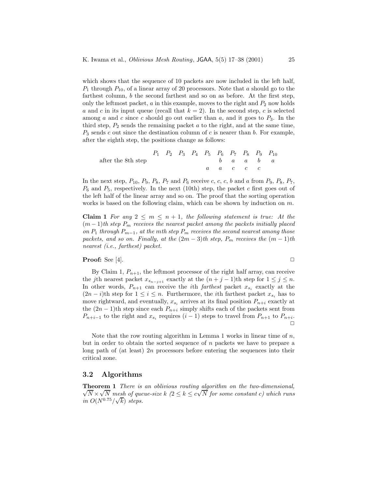which shows that the sequence of 10 packets are now included in the left half,  $P_1$  through  $P_{10}$ , of a linear array of 20 processors. Note that a should go to the farthest column, b the second farthest and so on as before. At the first step, only the leftmost packet,  $a$  in this example, moves to the right and  $P_2$  now holds a and c in its input queue (recall that  $k = 2$ ). In the second step, c is selected among  $a$  and  $c$  since  $c$  should go out earlier than  $a$ , and it goes to  $P_3$ . In the third step,  $P_2$  sends the remaining packet  $a$  to the right, and at the same time,  $P_3$  sends c out since the destination column of c is nearer than b. For example, after the eighth step, the positions change as follows:

$$
\begin{array}{ccccccccc}\n & & P_1 & P_2 & P_3 & P_4 & P_5 & P_6 & P_7 & P_8 & P_9 & P_{10} \\
\text{after the 8th step} & & & & b & a & a & b & a \\
 & & & a & a & c & c & c \\
 & & & a & a & c & c & c\n\end{array}
$$

In the next step,  $P_10$ ,  $P_9$ ,  $P_8$ ,  $P_7$  and  $P_6$  receive c, c, c, b and a from  $P_9$ ,  $P_8$ ,  $P_7$ ,  $P_6$  and  $P_5$ , respectively. In the next (10th) step, the packet c first goes out of the left half of the linear array and so on. The proof that the sorting operation works is based on the following claim, which can be shown by induction on m.

**Claim 1** For any  $2 \leq m \leq n+1$ , the following statement is true: At the  $(m-1)$ <sup>th</sup> step  $P_m$  receives the nearest packet among the packets initially placed  $\sum_{i=1}^{\infty}$  *on*  $P_1$  *through*  $P_{m-1}$ *, at the mth step*  $P_m$  *receives the second nearest among those packets, and so on. Finally, at the*  $(2m-3)$ *th step,*  $P_m$  *receives the*  $(m-1)$ *th nearest (i.e., farthest) packet.*

#### **Proof:** See [4].  $\Box$

By Claim 1,  $P_{n+1}$ , the leftmost processor of the right half array, can receive the jth nearest packet  $x_{s_{n-j+1}}$  exactly at the  $(n+j-1)$ th step for  $1 \leq j \leq n$ . In other words,  $P_{n+1}$  can receive the *i*th *farthest* packet  $x_{s_i}$  exactly at the  $(2n - i)$ th step for  $1 \leq i \leq n$ . Furthermore, the *i*th farthest packet  $x_{s_i}$  has to move rightward, and eventually,  $x_{s_i}$  arrives at its final position  $P_{n+i}$  exactly at the  $(2n-1)$ th step since each  $P_{n+i}$  simply shifts each of the packets sent from  $P_{n+i-1}$  to the right and  $x_{s_i}$  requires  $(i-1)$  steps to travel from  $P_{n+1}$  to  $P_{n+i}$ .  $\Box$ 

Note that the row routing algorithm in Lemma 1 works in linear time of  $n$ , but in order to obtain the sorted sequence of  $n$  packets we have to prepare a long path of (at least) 2n processors before entering the sequences into their critical zone.

### **3.2 Algorithms**

**Theorem 1** There is an oblivious routing algorithm on the two-dimensional,  $\sqrt{N} \times \sqrt{N}$  mesh of queue-size k  $(2 \le k \le c\sqrt{N})$  for some constant c) which runs  $\frac{\partial}{\partial n} O(N^{0.75}/\sqrt{k})$  *steps.*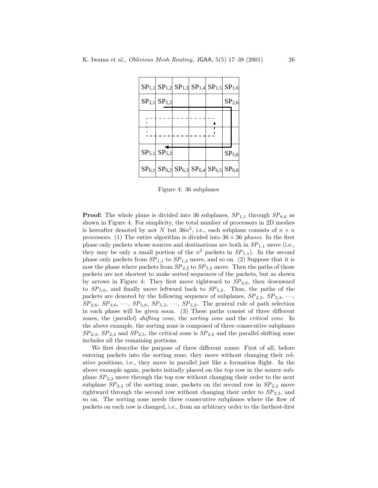| $\sup_{1,1}$ $\sup_{1,2}$ $\sup_{1,3}$ $\sup_{1,4}$ $\sup_{1,5}$ $\sup_{1,6}$ |  |  |                   |
|-------------------------------------------------------------------------------|--|--|-------------------|
| $SP_{2,1}$ $SP_{2,2}$                                                         |  |  | SP <sub>2,6</sub> |
|                                                                               |  |  |                   |
|                                                                               |  |  |                   |
| $SP_{5,1}$ $SP_{5,2}$                                                         |  |  | SP <sub>5,6</sub> |
| $\sup_{6,1}$ $\sup_{6,2}$ $\sup_{6,3}$ $\sup_{6,4}$ $\sup_{6,5}$ $\sup_{6,6}$ |  |  |                   |

Figure 4: 36 subplanes

**Proof:** The whole plane is divided into 36 subplanes,  $SP_{1,1}$  through  $SP_{6,6}$  as shown in Figure 4. For simplicity, the total number of processors in 2D meshes is hereafter denoted by not N but  $36n^2$ , i.e., each subplane consists of  $n \times n$ processors. (1) The entire algorithm is divided into  $36 \times 36$  *phases*. In the first phase only packets whose sources and destinations are both in  $SP_{1,1}$  move (i.e., they may be only a small portion of the  $n^2$  packets in  $SP_{1,1}$ ). In the second phase only packets from  $SP_{1,1}$  to  $SP_{1,2}$  move, and so on. (2) Suppose that it is now the phase where packets from  $SP_{2,2}$  to  $SP_{5,2}$  move. Then the paths of those packets are not shortest to make sorted sequences of the packets, but as shown by arrows in Figure 4: They first move rightward to *SP*2,6, then downward to  $SP_{5,6}$ , and finally move leftward back to  $SP_{5,2}$ . Thus, the paths of the packets are denoted by the following sequence of subplanes,  $SP_{2,2}$ ,  $SP_{2,3}$ ,  $\cdots$ ,  $SP_{2,6}$ ,  $SP_{3,6}$ ,  $\cdots$ ,  $SP_{5,6}$ ,  $SP_{5,5}$ ,  $\cdots$ ,  $SP_{5,2}$ . The general rule of path selection in each phase will be given soon. (3) These paths consist of three different zones, the (*parallel*) *shifting zone*, the *sorting zone* and the *critical zone*. In the above example, the sorting zone is composed of three consecutive subplanes  $SP_{2,3}$ ,  $SP_{2,4}$  and  $SP_{2,5}$ , the critical zone is  $SP_{2,6}$  and the parallel shifting zone includes all the remaining portions.

We first describe the purpose of three different zones: First of all, before entering packets into the sorting zone, they move without changing their relative positions, i.e., they move in parallel just like a formation flight. In the above example again, packets initially placed on the top row in the source subplane *SP*2,<sup>2</sup> move through the top row without changing their order to the next subplane  $SP_{2,3}$  of the sorting zone, packets on the second row in  $SP_{2,2}$  move rightward through the second row without changing their order to  $SP_{2,3}$ , and so on. The sorting zone needs three consecutive subplanes where the flow of packets on each row is changed, i.e., from an arbitrary order to the farthest-first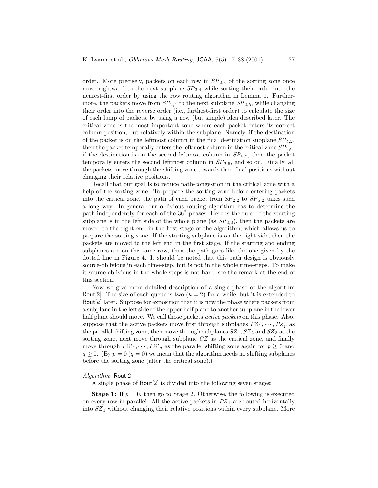order. More precisely, packets on each row in *SP*2,<sup>3</sup> of the sorting zone once move rightward to the next subplane *SP*2,<sup>4</sup> while sorting their order into the nearest-first order by using the row routing algorithm in Lemma 1. Furthermore, the packets move from  $SP_{2,4}$  to the next subplane  $SP_{2,5}$ , while changing their order into the reverse order (i.e., farthest-first order) to calculate the size of each lump of packets, by using a new (but simple) idea described later. The critical zone is the most important zone where each packet enters its correct column position, but relatively within the subplane. Namely, if the destination of the packet is on the leftmost column in the final destination subplane  $SP_{5,2}$ , then the packet temporally enters the leftmost column in the critical zone  $SP_{2,6}$ , if the destination is on the second leftmost column in  $SP_{5,2}$ , then the packet temporally enters the second leftmost column in *SP*2,6, and so on. Finally, all the packets move through the shifting zone towards their final positions without changing their relative positions.

Recall that our goal is to reduce path-congestion in the critical zone with a help of the sorting zone. To prepare the sorting zone before entering packets into the critical zone, the path of each packet from  $SP_{2,2}$  to  $SP_{5,2}$  takes such a long way. In general our oblivious routing algorithm has to determine the path independently for each of the 36<sup>2</sup> phases. Here is the rule: If the starting subplane is in the left side of the whole plane (as  $SP_{2,2}$ ), then the packets are moved to the right end in the first stage of the algorithm, which allows us to prepare the sorting zone. If the starting subplane is on the right side, then the packets are moved to the left end in the first stage. If the starting and ending subplanes are on the same row, then the path goes like the one given by the dotted line in Figure 4. It should be noted that this path design is obviously source-oblivious in each time-step, but is not in the whole time-steps. To make it source-oblivious in the whole steps is not hard, see the remark at the end of this section.

Now we give more detailed description of a single phase of the algorithm Rout[2]. The size of each queue is two  $(k = 2)$  for a while, but it is extended to Rout $[k]$  later. Suppose for exposition that it is now the phase where packets from a subplane in the left side of the upper half plane to another subplane in the lower half plane should move. We call those packets *active packets* on this phase. Also, suppose that the active packets move first through subplanes  $PZ_1, \dots, PZ_p$  as the parallel shifting zone, then move through subplanes  $SZ_1$ ,  $SZ_2$  and  $SZ_3$  as the sorting zone, next move through subplane *CZ* as the critical zone, and finally move through  $PZ'_{1}, \cdots, PZ'_{q}$  as the parallel shifting zone again for  $p \geq 0$  and  $q \geq 0$ . (By  $p = 0$  ( $q = 0$ ) we mean that the algorithm needs no shifting subplanes before the sorting zone (after the critical zone).)

#### *Algorithm*: Rout[2]

A single phase of Rout[2] is divided into the following seven stages:

**Stage 1:** If  $p = 0$ , then go to Stage 2. Otherwise, the following is executed on every row in parallel: All the active packets in  $PZ_1$  are routed horizontally into *SZ*<sup>1</sup> without changing their relative positions within every subplane. More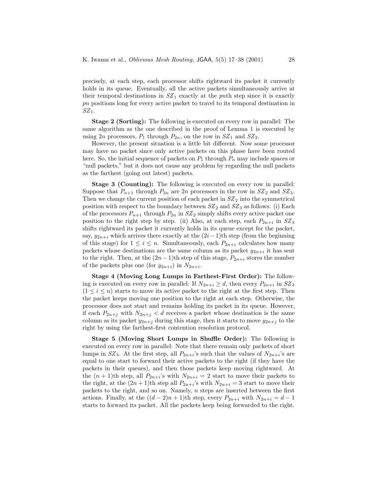precisely, at each step, each processor shifts rightward its packet it currently holds in its queue. Eventually, all the active packets simultaneously arrive at their temporal destinations in  $SZ_1$  exactly at the *pnth* step since it is exactly pn positions long for every active packet to travel to its temporal destination in *SZ*1.

**Stage 2 (Sorting):** The following is executed on every row in parallel: The same algorithm as the one described in the proof of Lemma 1 is executed by using 2n processors,  $P_1$  through  $P_{2n}$ , on the row in  $SZ_1$  and  $SZ_2$ .

However, the present situation is a little bit different. Now some processor may have no packet since only active packets on this phase have been routed here. So, the initial sequence of packets on  $P_1$  through  $P_n$  may include spaces or "null packets," but it does not cause any problem by regarding the null packets as the farthest (going out latest) packets.

**Stage 3 (Counting):** The following is executed on every row in parallel: Suppose that  $P_{n+1}$  through  $P_{3n}$  are 2n processors in the row in  $SZ_2$  and  $SZ_3$ . Then we change the current position of each packet in  $SZ_2$  into the symmetrical position with respect to the boundary between *SZ*<sup>2</sup> and *SZ*<sup>3</sup> as follows: (i) Each of the processors  $P_{n+1}$  through  $P_{2n}$  in  $SZ_2$  simply shifts every active packet one position to the right step by step. (ii) Also, at each step, each  $P_{2n+i}$  in  $SZ_3$ shifts rightward its packet it currently holds in its queue except for the packet, say,  $y_{2n+i}$  which arrives there exactly at the  $(2i-1)$ th step (from the beginning of this stage) for  $1 \leq i \leq n$ . Simultaneously, each  $P_{2n+i}$  calculates how many packets whose destinations are the same column as its packet  $y_{2n+i}$  it has sent to the right. Then, at the  $(2n-1)$ th step of this stage,  $P_{2n+i}$  stores the number of the packets plus one (for  $y_{2n+i}$ ) in  $N_{2n+i}$ .

**Stage 4 (Moving Long Lumps in Farthest-First Order):** The following is executed on every row in parallel: If  $N_{2n+i} \geq d$ , then every  $P_{2n+i}$  in  $SZ_3$  $(1 \leq i \leq n)$  starts to move its active packet to the right at the first step. Then the packet keeps moving one position to the right at each step. Otherwise, the processor does not start and remains holding its packet in its queue. However, if each  $P_{2n+j}$  with  $N_{2n+j} < d$  receives a packet whose destination is the same column as its packet  $y_{2n+j}$  during this stage, then it starts to move  $y_{2n+j}$  to the right by using the farthest-first contention resolution protocol.

**Stage 5 (Moving Short Lumps in Shuffle Order):** The following is executed on every row in parallel: Note that there remain only packets of short lumps in  $SZ_3$ . At the first step, all  $P_{2n+i}$ 's such that the values of  $N_{2n+i}$ 's are equal to one start to forward their active packets to the right (if they have the packets in their queues), and then those packets keep moving rightward. At the  $(n + 1)$ th step, all  $P_{2n+i}$ 's with  $N_{2n+i} = 2$  start to move their packets to the right, at the  $(2n + 1)$ th step all  $P_{2n+i}$ 's with  $N_{2n+i} = 3$  start to move their packets to the right, and so on. Namely, n steps are inserted between the first actions. Finally, at the  $((d-2)n+1)$ th step, every  $P_{2n+i}$  with  $N_{2n+i} = d-1$ starts to forward its packet. All the packets keep being forwarded to the right.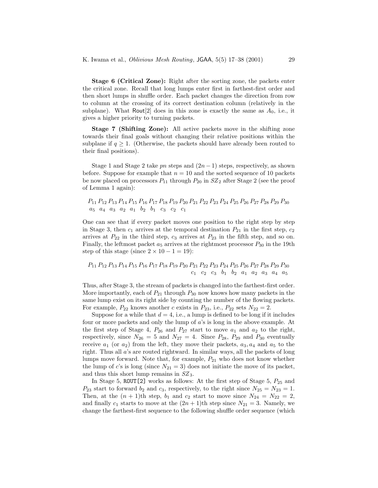**Stage 6 (Critical Zone):** Right after the sorting zone, the packets enter the critical zone. Recall that long lumps enter first in farthest-first order and then short lumps in shuffle order. Each packet changes the direction from row to column at the crossing of its correct destination column (relatively in the subplane). What Rout<sup>[2]</sup> does in this zone is exactly the same as  $A_0$ , i.e., it gives a higher priority to turning packets.

**Stage 7 (Shifting Zone):** All active packets move in the shifting zone towards their final goals without changing their relative positions within the subplane if  $q \geq 1$ . (Otherwise, the packets should have already been routed to their final positions).

Stage 1 and Stage 2 take pn steps and  $(2n-1)$  steps, respectively, as shown before. Suppose for example that  $n = 10$  and the sorted sequence of 10 packets be now placed on processors  $P_{11}$  through  $P_{20}$  in  $SZ_2$  after Stage 2 (see the proof of Lemma 1 again):

 $P_{11}$   $P_{12}$   $P_{13}$   $P_{14}$   $P_{15}$   $P_{16}$   $P_{17}$   $P_{18}$   $P_{19}$   $P_{20}$   $P_{21}$   $P_{22}$   $P_{23}$   $P_{24}$   $P_{25}$   $P_{26}$   $P_{27}$   $P_{28}$   $P_{29}$   $P_{30}$  $a_5$   $a_4$   $a_3$   $a_2$   $a_1$   $b_2$   $b_1$   $c_3$   $c_2$   $c_1$ 

One can see that if every packet moves one position to the right step by step in Stage 3, then  $c_1$  arrives at the temporal destination  $P_{21}$  in the first step,  $c_2$ arrives at  $P_{22}$  in the third step,  $c_3$  arrives at  $P_{23}$  in the fifth step, and so on. Finally, the leftmost packet  $a_5$  arrives at the rightmost processor  $P_{30}$  in the 19th step of this stage (since  $2 \times 10 - 1 = 19$ ):

 $P_{11}$   $P_{12}$   $P_{13}$   $P_{14}$   $P_{15}$   $P_{16}$   $P_{17}$   $P_{18}$   $P_{19}$   $P_{20}$   $P_{21}$   $P_{22}$   $P_{23}$   $P_{24}$   $P_{25}$   $P_{26}$   $P_{27}$   $P_{28}$   $P_{29}$   $P_{30}$  $c_1$   $c_2$   $c_3$   $b_1$   $b_2$   $a_1$   $a_2$   $a_3$   $a_4$   $a_5$ 

Thus, after Stage 3, the stream of packets is changed into the farthest-first order. More importantly, each of  $P_{21}$  through  $P_{30}$  now knows how many packets in the same lump exist on its right side by counting the number of the flowing packets. For example,  $P_{22}$  knows another c exists in  $P_{23}$ , i.e.,  $P_{22}$  sets  $N_{22} = 2$ .

Suppose for a while that  $d = 4$ , i.e., a lump is defined to be long if it includes four or more packets and only the lump of a's is long in the above example. At the first step of Stage 4,  $P_{26}$  and  $P_{27}$  start to move  $a_1$  and  $a_2$  to the right, respectively, since  $N_{26} = 5$  and  $N_{27} = 4$ . Since  $P_{28}$ ,  $P_{29}$  and  $P_{30}$  eventually receive  $a_1$  (or  $a_2$ ) from the left, they move their packets,  $a_3$ ,  $a_4$  and  $a_5$  to the right. Thus all a's are routed rightward. In similar ways, all the packets of long lumps move forward. Note that, for example,  $P_{21}$  who does not know whether the lump of c's is long (since  $N_{21} = 3$ ) does not initiate the move of its packet, and thus this short lump remains in *SZ*3.

In Stage 5, ROUT[2] works as follows: At the first step of Stage 5,  $P_{25}$  and  $P_{23}$  start to forward  $b_2$  and  $c_3$ , respectively, to the right since  $N_{25} = N_{23} = 1$ . Then, at the  $(n + 1)$ th step,  $b_1$  and  $c_2$  start to move since  $N_{24} = N_{22} = 2$ , and finally  $c_1$  starts to move at the  $(2n + 1)$ th step since  $N_{21} = 3$ . Namely, we change the farthest-first sequence to the following shuffle order sequence (which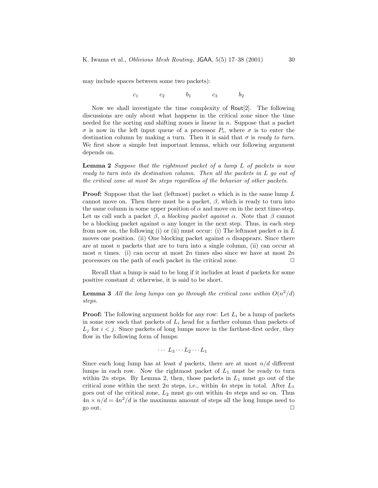may include spaces between some two packets):

 $c_1$  c<sub>2</sub>  $b_1$  c<sub>3</sub>  $b_2$ 

Now we shall investigate the time complexity of Rout[2]. The following discussions are only about what happens in the critical zone since the time needed for the sorting and shifting zones is linear in n. Suppose that a packet σ is now in the left input queue of a processor  $P_i$ , where σ is to enter the destination column by making a turn. Then it is said that  $\sigma$  is *ready to turn*. We first show a simple but important lemma, which our following argument depends on.

**Lemma 2** *Suppose that the rightmost packet of a lump* L *of packets is now ready to turn into its destination column. Then all the packets in* L *go out of the critical zone at most* 3n *steps regardless of the behavior of other packets.*

**Proof:** Suppose that the last (leftmost) packet  $\alpha$  which is in the same lump L cannot move on. Then there must be a packet,  $\beta$ , which is ready to turn into the same column in some upper position of  $\alpha$  and move on in the next time-step. Let us call such a packet  $\beta$ , *a blocking packet against*  $\alpha$ . Note that  $\beta$  cannot be a blocking packet against  $\alpha$  any longer in the next step. Thus, in each step from now on, the following (i) or (ii) must occur: (i) The leftmost packet  $\alpha$  in L moves one position. (ii) One blocking packet against  $\alpha$  disappears. Since there are at most n packets that are to turn into a single column, (ii) can occur at most n times. (i) can occur at most  $2n$  times also since we have at most  $2n$ processors on the path of each packet in the critical zone.  $\Box$ 

Recall that a lump is said to be long if it includes at least d packets for some positive constant d; otherwise, it is said to be short.

**Lemma 3** All the long lumps can go through the critical zone within  $O(n^2/d)$ *steps.*

**Proof:** The following argument holds for any row: Let  $L_i$  be a lump of packets in some row such that packets of  $L_i$  head for a farther column than packets of  $L_j$  for  $i < j$ . Since packets of long lumps move in the farthest-first order, they flow in the following form of lumps:

$$
\cdots L_3 \cdots L_2 \cdots L_1
$$

Since each long lump has at least d packets, there are at most  $n/d$  different lumps in each row. Now the rightmost packet of  $L_1$  must be ready to turn within 2n steps. By Lemma 2, then, those packets in  $L_1$  must go out of the critical zone within the next  $2n$  steps, i.e., within  $4n$  steps in total. After  $L_1$ goes out of the critical zone,  $L_2$  must go out within  $4n$  steps and so on. Thus  $4n \times n/d = 4n^2/d$  is the maximum amount of steps all the long lumps need to go out. go out.  $\Box$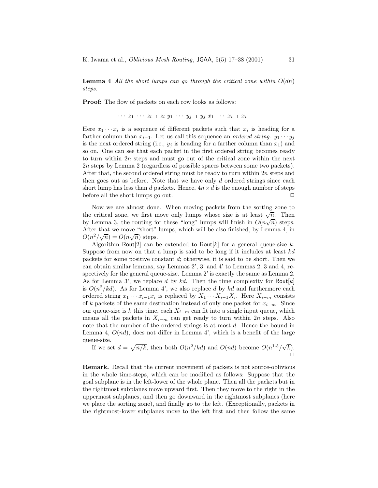**Lemma 4** *All the short lumps can go through the critical zone within*  $O(dn)$ *steps.*

**Proof:** The flow of packets on each row looks as follows:

$$
\cdots z_1 \cdots z_{l-1} z_l y_1 \cdots y_{j-1} y_j x_1 \cdots x_{i-1} x_i
$$

Here  $x_1 \cdots x_i$  is a sequence of different packets such that  $x_i$  is heading for a farther column than  $x_{i-1}$ . Let us call this sequence an *ordered string*.  $y_1 \cdots y_j$ is the next ordered string (i.e.,  $y_j$  is heading for a farther column than  $x_1$ ) and so on. One can see that each packet in the first ordered string becomes ready to turn within 2n steps and must go out of the critical zone within the next 2n steps by Lemma 2 (regardless of possible spaces between some two packets). After that, the second ordered string must be ready to turn within 2n steps and then goes out as before. Note that we have only d ordered strings since each short lump has less than d packets. Hence,  $4n \times d$  is the enough number of steps before all the short lumps so out before all the short lumps go out.

Now we are almost done. When moving packets from the sorting zone to the critical zone, we first move only lumps whose size is at least  $\sqrt{n}$ . Then by Lemma 3, the routing for these "long" lumps will finish in  $O(n\sqrt{n})$  steps. After that we move "short" lumps, which will be also finished, by Lemma 4, in  $O(n^2/\sqrt{n}) = O(n\sqrt{n})$  steps.

Algorithm Rout<sup>[2]</sup> can be extended to Rout<sup>[k]</sup> for a general queue-size k: Suppose from now on that a lump is said to be long if it includes at least kd packets for some positive constant d; otherwise, it is said to be short. Then we can obtain similar lemmas, say Lemmas 2', 3' and 4' to Lemmas 2, 3 and 4, respectively for the general queue-size. Lemma 2' is exactly the same as Lemma 2. As for Lemma 3', we replace d by kd. Then the time complexity for Rout $[k]$ is  $O(n^2/kd)$ . As for Lemma 4', we also replace d by kd and furthermore each ordered string  $x_1 \cdots x_{i-1}x_i$  is replaced by  $X_1 \cdots X_{i-1}X_i$ . Here  $X_{i-m}$  consists of k packets of the same destination instead of only one packet for  $x_{i-m}$ . Since our queue-size is k this time, each  $X_{i-m}$  can fit into a single input queue, which means all the packets in  $X_{i-m}$  can get ready to turn within 2n steps. Also note that the number of the ordered strings is at most d. Hence the bound in Lemma 4,  $O(nd)$ , does not differ in Lemma 4', which is a benefit of the large queue-size.

If we set  $d = \sqrt{n/k}$ , then both  $O(n^2/kd)$  and  $O(nd)$  become  $O(n^{1.5}/\sqrt{k})$ .  $\Box$ 

**Remark.** Recall that the current movement of packets is not source-oblivious in the whole time-steps, which can be modified as follows: Suppose that the goal subplane is in the left-lower of the whole plane. Then all the packets but in the rightmost subplanes move upward first. Then they move to the right in the uppermost subplanes, and then go downward in the rightmost subplanes (here we place the sorting zone), and finally go to the left. (Exceptionally, packets in the rightmost-lower subplanes move to the left first and then follow the same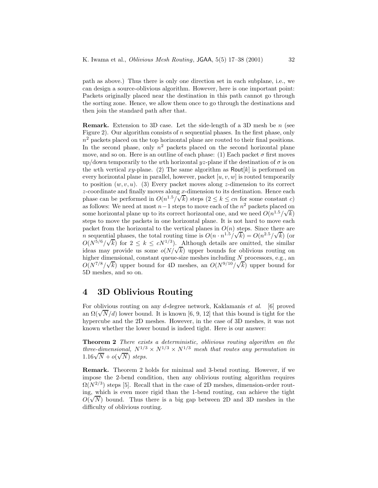path as above.) Thus there is only one direction set in each subplane, i.e., we can design a source-oblivious algorithm. However, here is one important point: Packets originally placed near the destination in this path cannot go through the sorting zone. Hence, we allow them once to go through the destinations and then join the standard path after that.

**Remark.** Extension to 3D case. Let the side-length of a 3D mesh be  $n$  (see Figure 2). Our algorithm consists of  $n$  sequential phases. In the first phase, only  $n^2$  packets placed on the top horizontal plane are routed to their final positions. In the second phase, only  $n^2$  packets placed on the second horizontal plane move, and so on. Here is an outline of each phase: (1) Each packet  $\sigma$  first moves up/down temporarily to the wth horizontal yz-plane if the destination of  $\sigma$  is on the wth vertical xy-plane. (2) The same algorithm as  $\text{Rout}[k]$  is performed on every horizontal plane in parallel, however, packet  $[u, v, w]$  is routed temporarily to position  $(w, v, u)$ . (3) Every packet moves along z-dimension to its correct z-coordinate and finally moves along x-dimension to its destination. Hence each phase can be performed in  $O(n^{1.5}/\sqrt{k})$  steps  $(2 \le k \le cn$  for some constant c) as follows: We need at most  $n-1$  steps to move each of the  $n^2$  packets placed on some horizontal plane up to its correct horizontal one, and we need  $O(n^{1.5}/\sqrt{k})$ steps to move the packets in one horizontal plane. It is not hard to move each packet from the horizontal to the vertical planes in  $O(n)$  steps. Since there are m sequential phases, the total routing time is  $O(n \cdot n^{1.5}/\sqrt{k}) = O(n^{2.5}/\sqrt{k})$  (or  $O(N^{5/6}/\sqrt{k})$  for  $2 \le k \le cN^{1/3}$ . Although details are omitted, the similar ideas may provide us some  $o(N/\sqrt{k})$  upper bounds for oblivious routing on higher dimensional, constant queue-size meshes including N processors, e.g., an  $O(N^{7/8}/\sqrt{k})$  upper bound for 4D meshes, an  $O(N^{9/10}/\sqrt{k})$  upper bound for 5D meshes, and so on.

### **4 3D Oblivious Routing**

For oblivious routing on any d-degree network, Kaklamanis *et al.* [6] proved an  $\Omega(\sqrt{N/d})$  lower bound. It is known [6, 9, 12] that this bound is tight for the hypercube and the 2D meshes. However, in the case of 3D meshes, it was not known whether the lower bound is indeed tight. Here is our answer:

**Theorem 2** *There exists a deterministic, oblivious routing algorithm on the three-dimensional,*  $N^{1/3} \times N^{1/3} \times N^{1/3}$  *mesh that routes any permutation in* 1.16 $\sqrt{N}$  +  $o(\sqrt{N})$  steps.

**Remark.** Theorem 2 holds for minimal and 3-bend routing. However, if we impose the 2-bend condition, then any oblivious routing algorithm requires  $\Omega(N^{2/3})$  steps [5]. Recall that in the case of 2D meshes, dimension-order routing, which is even more rigid than the 1-bend routing, can achieve the tight  $O(\sqrt{N})$  bound. Thus there is a big gap between 2D and 3D meshes in the difficulty of oblivious routing.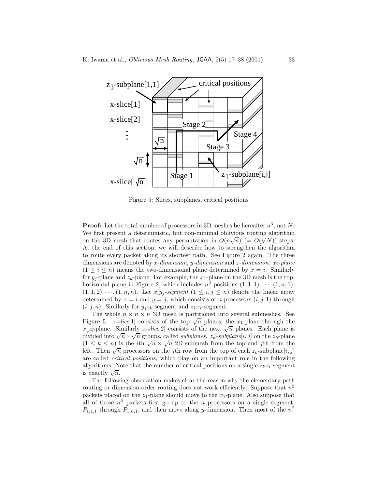

Figure 5: Slices, subplanes, critical positions

**Proof:** Let the total number of processors in 3D meshes be hereafter  $n^3$ , not N. We first present a deterministic, but non-minimal oblivious routing algorithm on the 3D mesh that routes any permutation in  $O(n\sqrt{n})$  (=  $O(\sqrt{N})$ ) steps. At the end of this section, we will describe how to strengthen the algorithm to route every packet along its shortest path. See Figure 2 again. The three dimensions are denoted by x*-dimension*, y*-dimension* and z*-dimension*. xi*-plane*  $(1 \leq i \leq n)$  means the two-dimensional plane determined by  $x = i$ . Similarly for  $y_j$ -plane and  $z_k$ -plane. For example, the  $x_1$ -plane on the 3D mesh is the top, horizontal plane in Figure 2, which includes  $n^2$  positions  $(1, 1, 1), \dots, (1, n, 1)$ ,  $(1, 1, 2), \dots, (1, n, n)$ . Let  $x_i y_j$ -segment  $(1 \leq i, j \leq n)$  denote the linear array determined by  $x = i$  and  $y = j$ , which consists of n processors  $(i, j, 1)$  through  $(i, j, n)$ . Similarly for  $y_i z_k$ -segment and  $z_k x_i$ -segment.

The whole  $n \times n \times n$  3D mesh is partitioned into several submeshes. See Figure 5. x-slice<sup>[1]</sup> consists of the top  $\sqrt{n}$  planes, the x<sub>1</sub>-plane through the  $x\sqrt{n}$ -plane. Similarly x-*slice*[2] consists of the next  $\sqrt{n}$  planes. Each plane is divided into  $\sqrt{n} \times \sqrt{n}$  groups, called *subplanes.*  $z_k$ -subplane[i, j] on the  $z_k$ -plane  $(1 \leq k \leq n)$  is the *i*th  $\sqrt{n} \times \sqrt{n}$  2D submesh from the top and *j*th from the left. Then  $\sqrt{n}$  processors on the jth row from the top of each  $z_k$ -subplane $[i, j]$ are called *critical positions*, which play on an important role in the following algorithms. Note that the number of critical positions on a single  $z_k x_i$ -segment is exactly  $\sqrt{n}$ .

The following observation makes clear the reason why the elementary-path routing or dimension-order routing does not work efficiently: Suppose that  $n^2$ packets placed on the  $z_1$ -plane should move to the  $x_1$ -plane. Also suppose that all of those  $n^2$  packets first go up to the n processors on a single segment,  $P_{1,1,1}$  through  $P_{1,n,1}$ , and then move along y-dimension. Then most of the  $n^2$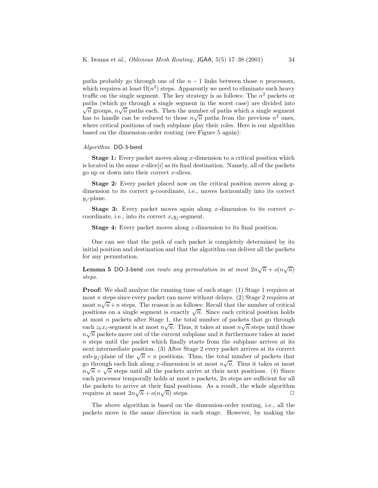paths probably go through one of the  $n-1$  links between those n processors, which requires at least  $\Omega(n^2)$  steps. Apparently we need to eliminate such heavy traffic on the single segment. The key strategy is as follows: The  $n^2$  packets or paths (which go through a single segment in the worst case) are divided into  $\sqrt{\overline{n}}$  groups,  $n\sqrt{n}$  paths each. Then the number of paths which a single segment has to handle can be reduced to those  $n\sqrt{n}$  paths from the previous  $n^2$  ones, where critical positions of each subplane play their roles. Here is our algorithm based on the dimension-order routing (see Figure 5 again):

#### *Algorithm*: DO-3-bend

**Stage 1:** Every packet moves along x-dimension to a critical position which is located in the same  $x$ -slice  $[i]$  as its final destination. Namely, all of the packets go up or down into their correct x-slices.

**Stage 2:** Every packet placed now on the critical position moves along ydimension to its correct y-coordinate, i.e., moves horizontally into its correct  $y_i$ -plane.

**Stage 3:** Every packet moves again along x-dimension to its correct xcoordinate, i.e., into its correct  $x_i y_j$ -segment.

**Stage 4:** Every packet moves along *z*-dimension to its final position.

One can see that the path of each packet is completely determined by its initial position and destination and that the algorithm can deliver all the packets for any permutation.

**Lemma 5** DO-3-bend *can route any permutation in at most*  $2n\sqrt{n} + o(n\sqrt{n})$ *steps.*

**Proof:** We shall analyze the running time of each stage: (1) Stage 1 requires at most  $n$  steps since every packet can move without delays. (2) Stage 2 requires at most  $n\sqrt{n}+n$  steps. The reason is as follows: Recall that the number of critical positions on a single segment is exactly  $\sqrt{n}$ . Since each critical position holds at most  $n$  packets after Stage 1, the total number of packets that go through each  $z_k x_i$ -segment is at most  $n\sqrt{n}$ . Thus, it takes at most  $n\sqrt{n}$  steps until those  $\sqrt{n}$  packets move out of the current subplane and it furthermore takes at most n steps until the packet which finally starts from the subplane arrives at its next intermediate position. (3) After Stage 2 every packet arrives at its correct sub-y<sub>j</sub>-plane of the  $\sqrt{n} \times n$  positions. Thus, the total number of packets that go through each link along x-dimension is at most  $n\sqrt{n}$ . Thus it takes at most  $n\sqrt{n} + \sqrt{n}$  steps until all the packets arrive at their next positions. (4) Since each processor temporally holds at most  $n$  packets,  $2n$  steps are sufficient for all the packets to arrive at their final positions. As a result, the whole algorithm requires at most  $2n\sqrt{n} + o(n\sqrt{n})$  steps.

The above algorithm is based on the dimension-order routing, i.e., all the packets move in the same direction in each stage. However, by making the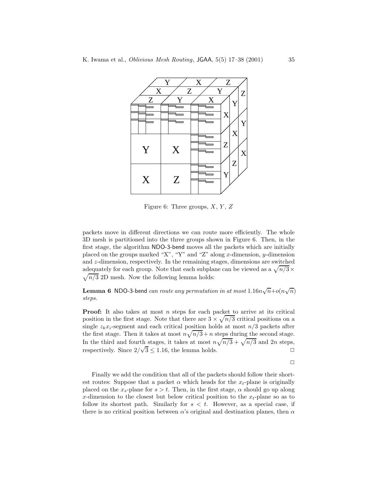

Figure 6: Three groups,  $X, Y, Z$ 

packets move in different directions we can route more efficiently. The whole 3D mesh is partitioned into the three groups shown in Figure 6. Then, in the first stage, the algorithm NDO-3-bend moves all the packets which are initially placed on the groups marked "X", "Y" and "Z" along x-dimension,  $y$ -dimension and z-dimension, respectively. In the remaining stages, dimensions are switched adequately for each group. Note that each subplane can be viewed as a  $\sqrt{n/3} \times$  $\sqrt{n/3}$  2D mesh. Now the following lemma holds:

**Lemma 6** NDO-3-bend *can route any permutation in at most*  $1.16n\sqrt{n}+o(n\sqrt{n})$ *steps.*

**Proof:** It also takes at most *n* steps for each packet to arrive at its critical position in the first stage. Note that there are  $3 \times \sqrt{n/3}$  critical positions on a single  $z_k x_i$ -segment and each critical position holds at most  $n/3$  packets after the first stage. Then it takes at most  $n\sqrt{n/3} + n$  steps during the second stage. In the third and fourth stages, it takes at most  $n\sqrt{n/3} + \sqrt{n/3}$  and 2n steps, respectively. Since  $2/\sqrt{3} \leq 1.16$ , the lemma holds.

 $\Box$ 

Finally we add the condition that all of the packets should follow their shortest routes: Suppose that a packet  $\alpha$  which heads for the  $x_t$ -plane is originally placed on the  $x_s$ -plane for  $s>t$ . Then, in the first stage,  $\alpha$  should go up along x-dimension to the closest but below critical position to the  $x_t$ -plane so as to follow its shortest path. Similarly for  $s < t$ . However, as a special case, if there is no critical position between  $\alpha$ 's original and destination planes, then  $\alpha$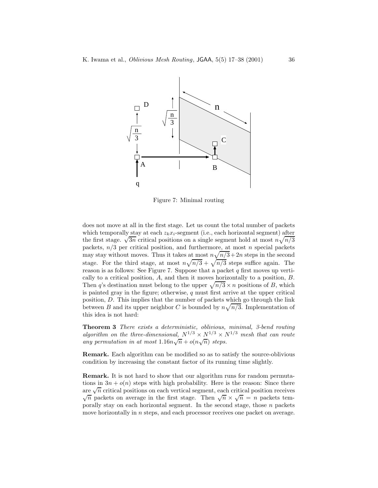

Figure 7: Minimal routing

does not move at all in the first stage. Let us count the total number of packets which temporally stay at each  $z_kx_i$ -segment (i.e., each horizontal segment) after the first stage.  $\sqrt{3n}$  critical positions on a single segment hold at most  $n\sqrt{n/3}$ packets,  $n/3$  per critical position, and furthermore, at most n special packets may stay without moves. Thus it takes at most  $n\sqrt{n/3}+2n$  steps in the second stage. For the third stage, at most  $n\sqrt{n/3} + \sqrt{n/3}$  steps suffice again. The reason is as follows: See Figure 7. Suppose that a packet  $q$  first moves up vertically to a critical position, A, and then it moves horizontally to a position, B. Then q's destination must belong to the upper  $\sqrt{n/3} \times n$  positions of B, which is painted gray in the figure; otherwise,  $q$  must first arrive at the upper critical position, D. This implies that the number of packets which go through the link between B and its upper neighbor C is bounded by  $n\sqrt{n/3}$ . Implementation of this idea is not hard:

**Theorem 3** *There exists a deterministic, oblivious, minimal, 3-bend routing algorithm on the three-dimensional,*  $N^{1/3} \times N^{1/3} \times N^{1/3}$  *mesh that can route any permutation in at most*  $1.16n\sqrt{n} + o(n\sqrt{n})$  *steps.* 

**Remark.** Each algorithm can be modified so as to satisfy the source-oblivious condition by increasing the constant factor of its running time slightly.

**Remark.** It is not hard to show that our algorithm runs for random permutations in  $3n + o(n)$  steps with high probability. Here is the reason: Since there are  $\sqrt{n}$  critical positions on each vertical segment, each critical position receives  $\sqrt{n}$  packets on average in the first stage. Then  $\sqrt{n} \times \sqrt{n} = n$  packets temporally stay on each horizontal segment. In the second stage, those  $n$  packets move horizontally in *n* steps, and each processor receives one packet on average.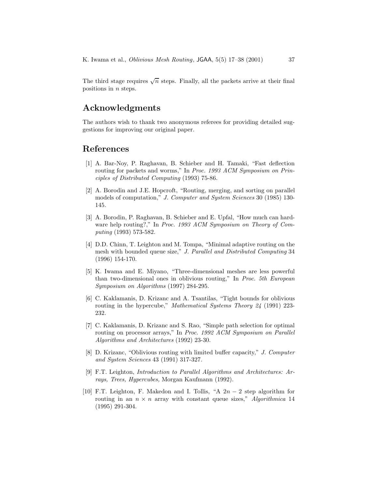The third stage requires  $\sqrt{n}$  steps. Finally, all the packets arrive at their final positions in n steps.

# **Acknowledgments**

The authors wish to thank two anonymous referees for providing detailed suggestions for improving our original paper.

## **References**

- [1] A. Bar-Noy, P. Raghavan, B. Schieber and H. Tamaki, "Fast deflection routing for packets and worms," In *Proc. 1993 ACM Symposium on Principles of Distributed Computing* (1993) 75-86.
- [2] A. Borodin and J.E. Hopcroft, "Routing, merging, and sorting on parallel models of computation," *J. Computer and System Sciences* 30 (1985) 130- 145.
- [3] A. Borodin, P. Raghavan, B. Schieber and E. Upfal, "How much can hardware help routing?," In *Proc. 1993 ACM Symposium on Theory of Computing* (1993) 573-582.
- [4] D.D. Chinn, T. Leighton and M. Tompa, "Minimal adaptive routing on the mesh with bounded queue size," *J. Parallel and Distributed Computing* 34 (1996) 154-170.
- [5] K. Iwama and E. Miyano, "Three-dimensional meshes are less powerful than two-dimensional ones in oblivious routing," In *Proc. 5th European Symposium on Algorithms* (1997) 284-295.
- [6] C. Kaklamanis, D. Krizanc and A. Tsantilas, "Tight bounds for oblivious routing in the hypercube," *Mathematical Systems Theory 24* (1991) 223- 232.
- [7] C. Kaklamanis, D. Krizanc and S. Rao, "Simple path selection for optimal routing on processor arrays," In *Proc. 1992 ACM Symposium on Parallel Algorithms and Architectures* (1992) 23-30.
- [8] D. Krizanc, "Oblivious routing with limited buffer capacity," *J. Computer and System Sciences* 43 (1991) 317-327.
- [9] F.T. Leighton, *Introduction to Parallel Algorithms and Architectures: Arrays, Trees, Hypercubes,* Morgan Kaufmann (1992).
- [10] F.T. Leighton, F. Makedon and I. Tollis, "A  $2n-2$  step algorithm for routing in an  $n \times n$  array with constant queue sizes," *Algorithmica* 14 (1995) 291-304.